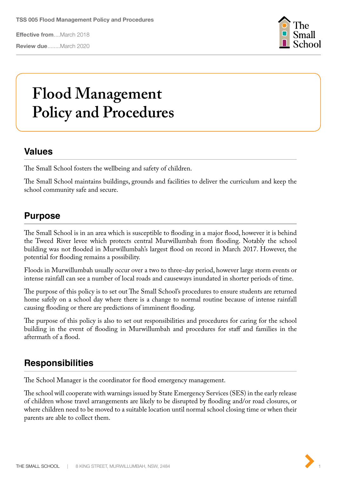**Effective from**....March 2018

**Review due**........March 2020



# **Flood Management Policy and Procedures**

## **Values**

The Small School fosters the wellbeing and safety of children.

The Small School maintains buildings, grounds and facilities to deliver the curriculum and keep the school community safe and secure.

# **Purpose**

The Small School is in an area which is susceptible to flooding in a major flood, however it is behind the Tweed River levee which protects central Murwillumbah from flooding. Notably the school building was not flooded in Murwillumbah's largest flood on record in March 2017. However, the potential for flooding remains a possibility.

Floods in Murwillumbah usually occur over a two to three-day period, however large storm events or intense rainfall can see a number of local roads and causeways inundated in shorter periods of time.

The purpose of this policy is to set out The Small School's procedures to ensure students are returned home safely on a school day where there is a change to normal routine because of intense rainfall causing flooding or there are predictions of imminent flooding.

The purpose of this policy is also to set out responsibilities and procedures for caring for the school building in the event of flooding in Murwillumbah and procedures for staff and families in the aftermath of a flood.

## **Responsibilities**

The School Manager is the coordinator for flood emergency management.

The school will cooperate with warnings issued by State Emergency Services (SES) in the early release of children whose travel arrangements are likely to be disrupted by flooding and/or road closures, or where children need to be moved to a suitable location until normal school closing time or when their parents are able to collect them.

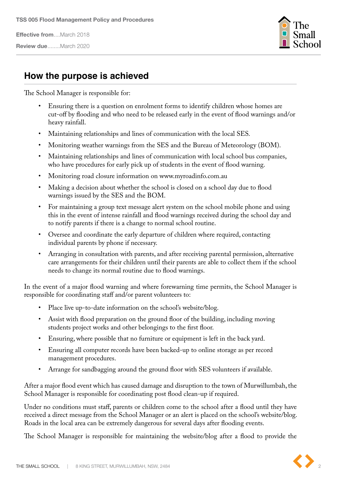**Effective from**....March 2018

**Review due**........March 2020



#### **How the purpose is achieved**

The School Manager is responsible for:

- Ensuring there is a question on enrolment forms to identify children whose homes are cut-off by flooding and who need to be released early in the event of flood warnings and/or heavy rainfall.
- Maintaining relationships and lines of communication with the local SES.
- Monitoring weather warnings from the SES and the Bureau of Meteorology (BOM).
- Maintaining relationships and lines of communication with local school bus companies, who have procedures for early pick up of students in the event of flood warning.
- Monitoring road closure information on www.myroadinfo.com.au
- Making a decision about whether the school is closed on a school day due to flood warnings issued by the SES and the BOM.
- For maintaining a group text message alert system on the school mobile phone and using this in the event of intense rainfall and flood warnings received during the school day and to notify parents if there is a change to normal school routine.
- Oversee and coordinate the early departure of children where required, contacting individual parents by phone if necessary.
- Arranging in consultation with parents, and after receiving parental permission, alternative care arrangements for their children until their parents are able to collect them if the school needs to change its normal routine due to flood warnings.

In the event of a major flood warning and where forewarning time permits, the School Manager is responsible for coordinating staff and/or parent volunteers to:

- Place live up-to-date information on the school's website/blog.
- Assist with flood preparation on the ground floor of the building, including moving students project works and other belongings to the first floor.
- Ensuring, where possible that no furniture or equipment is left in the back yard.
- Ensuring all computer records have been backed-up to online storage as per record management procedures.
- Arrange for sandbagging around the ground floor with SES volunteers if available.

After a major flood event which has caused damage and disruption to the town of Murwillumbah, the School Manager is responsible for coordinating post flood clean-up if required.

Under no conditions must staff, parents or children come to the school after a flood until they have received a direct message from the School Manager or an alert is placed on the school's website/blog. Roads in the local area can be extremely dangerous for several days after flooding events.

The School Manager is responsible for maintaining the website/blog after a flood to provide the